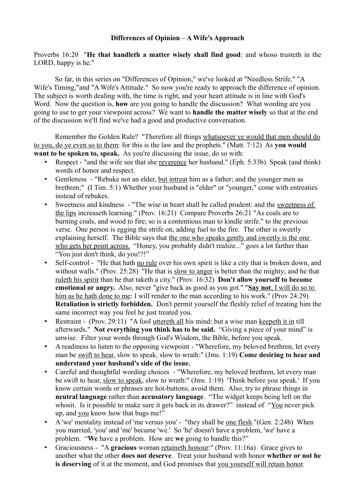## **Differences of Opinion – A Wife's Approach**

Proverbs 16:20 "**He that handleth a matter wisely shall find good**: and whoso trusteth in the LORD, happy is he."

So far, in this series on "Differences of Opinion," we've looked at "Needless Strife," "A Wife's Timing,"and "A Wife's Attitude." So now you're ready to approach the difference of opinion. The subject is worth dealing with, the time is right, and your heart attitude is in line with God's Word. Now the question is, **how** are you going to handle the discussion? What wording are you going to use to get your viewpoint across? We want to **handle the matter wisely** so that at the end of the discussion we'll find we've had a good and productive conversation.

Remember the Golden Rule? "Therefore all things whatsoever ye would that men should do to you, do ye even so to them: for this is the law and the prophets." (Matt. 7:12) As **you would want to be spoken to, speak.** As you're discussing the issue, do so with:

- Respect "and the wife see that she reverence her husband." (Eph. 5:33b) Speak (and think) words of honor and respect.
- Gentleness "Rebuke not an elder, but intreat him as a father; and the younger men as brethren;" (I Tim. 5:1) Whether your husband is "elder" or "younger," come with entreaties instead of rebukes.
- Sweetness and kindness "The wise in heart shall be called prudent: and the sweetness of the lips increaseth learning." (Prov. 16:21) Compare Proverbs 26:21 "As coals are to burning coals, and wood to fire; so is a contentious man to kindle strife." to the previous verse. One person is egging the strife on, adding fuel to the fire. The other is sweetly explaining herself. The Bible says that the one who speaks gently and sweetly is the one who gets her point across. "Honey, you probably didn't realize..." goes a lot farther than "You just don't think, do you!?!"
- Self-control "He that hath no rule over his own spirit is like a city that is broken down, and without walls." (Prov. 25:28) "He that is slow to anger is better than the mighty; and he that ruleth his spirit than he that taketh a city." (Prov. 16:32) **Don't allow yourself to become emotional or angry.** Also, never "give back as good as you got." " **Say not**, I will do so to him as he hath done to me: I will render to the man according to his work." (Prov 24:29) **Retaliation is strictly forbidden.** Don't permit yourself the fleshly relief of treating him the same incorrect way you feel he just treated you.
- Restraint (Prov. 29:11) "A fool uttereth all his mind: but a wise man keepeth it in till afterwards." **Not everything you think has to be said.** "Giving a piece of your mind" is unwise. Filter your words through God's Wisdom, the Bible, before you speak.
- A readiness to listen to the opposing viewpoint "Wherefore, my beloved brethren, let every man be swift to hear, slow to speak, slow to wrath:" (Jms. 1:19) **Come desiring to hear and understand your husband's side of the issue.**
- Careful and thoughtful wording choices "Wherefore, my beloved brethren, let every man be swift to hear, slow to speak, slow to wrath:" (Jms. 1:19) 'Think before you speak.' If you know certain words or phrases are hot-buttons, avoid them. Also, try to phrase things in **neutral language** rather than **accusatory language**. "The widget keeps being left on the whosit. Is it possible to make sure it gets back in its drawer?" instead of "You never pick up, and you know how that bugs me!"
- A 'we' mentality instead of 'me versus you' "they shall be <u>one flesh</u>."(Gen. 2:24b) When you married, 'you' and 'me' became 'we.' So 'he' doesn't have a problem, 'we' have a problem. "**We** have a problem. How are **we** going to handle this?"
- Graciousness "A **gracious** woman retaineth honour:" (Prov. 11:16a) Grace gives to another what the other **does not deserve**. Treat your husband with honor **whether or not he is deserving** of it at the moment, and God promises that you yourself will retain honor.